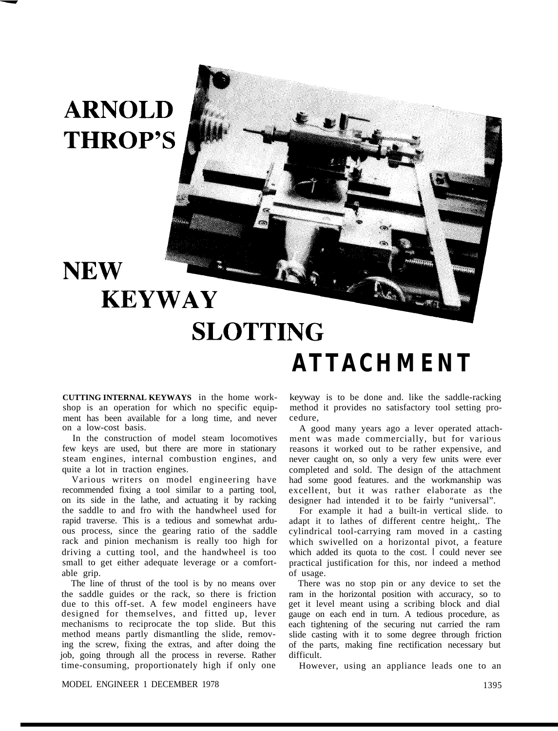## **ARNOLD THROP'S**

**NEW** 

## **KEYWAY SLOTTING ATTACHMENT**

**CUTTING INTERNAL KEYWAYS** in the home workshop is an operation for which no specific equipment has been available for a long time, and never on a low-cost basis.

In the construction of model steam locomotives few keys are used, but there are more in stationary steam engines, internal combustion engines, and quite a lot in traction engines.

Various writers on model engineering have recommended fixing a tool similar to a parting tool, on its side in the lathe, and actuating it by racking the saddle to and fro with the handwheel used for rapid traverse. This is a tedious and somewhat arduous process, since the gearing ratio of the saddle rack and pinion mechanism is really too high for driving a cutting tool, and the handwheel is too small to get either adequate leverage or a comfortable grip.

The line of thrust of the tool is by no means over the saddle guides or the rack, so there is friction due to this off-set. A few model engineers have designed for themselves, and fitted up, lever mechanisms to reciprocate the top slide. But this method means partly dismantling the slide, removing the screw, fixing the extras, and after doing the job, going through all the process in reverse. Rather time-consuming, proportionately high if only one

keyway is to be done and. like the saddle-racking method it provides no satisfactory tool setting procedure,

A good many years ago a lever operated attachment was made commercially, but for various reasons it worked out to be rather expensive, and never caught on, so only a very few units were ever completed and sold. The design of the attachment had some good features. and the workmanship was excellent, but it was rather elaborate as the designer had intended it to be fairly "universal".

For example it had a built-in vertical slide. to adapt it to lathes of different centre height,. The cylindrical tool-carrying ram moved in a casting which swivelled on a horizontal pivot, a feature which added its quota to the cost. I could never see practical justification for this, nor indeed a method of usage.

There was no stop pin or any device to set the ram in the horizontal position with accuracy, so to get it level meant using a scribing block and dial gauge on each end in turn. A tedious procedure, as each tightening of the securing nut carried the ram slide casting with it to some degree through friction of the parts, making fine rectification necessary but difficult.

However, using an appliance leads one to an

## MODEL ENGINEER 1 DECEMBER 1978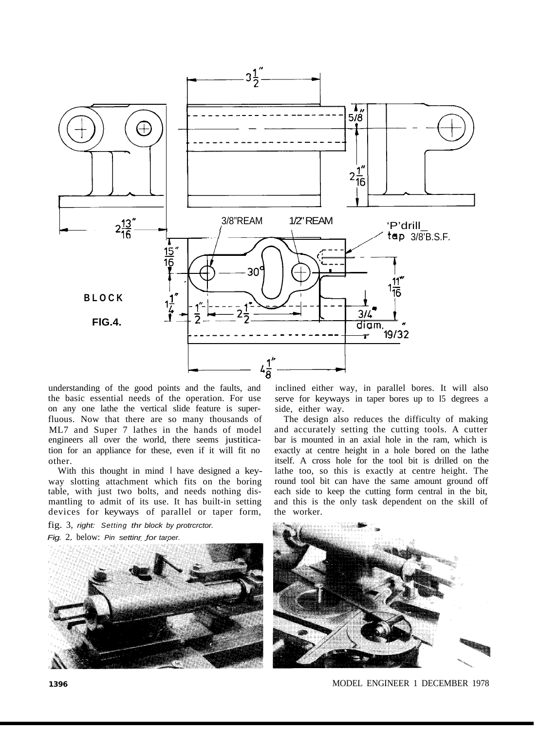

understanding of the good points and the faults, and the basic essential needs of the operation. For use on any one lathe the vertical slide feature is superfluous. Now that there are so many thousands of ML7 and Super 7 lathes in the hands of model engineers all over the world, there seems justitication for an appliance for these, even if it will fit no other.

With this thought in mind I have designed a keyway slotting attachment which fits on the boring table, with just two bolts, and needs nothing dismantling to admit of its use. It has built-in setting devices for keyways of parallel or taper form,

fig. 3, *right: Setting thr block by protrcrctor.*

*Fig.* 2. below: *Pin settinr for taroer.*



inclined either way, in parallel bores. It will also serve for keyways in taper bores up to I5 degrees a side, either way.

The design also reduces the difficulty of making and accurately setting the cutting tools. A cutter bar is mounted in an axial hole in the ram, which is exactly at centre height in a hole bored on the lathe itself. A cross hole for the tool bit is drilled on the lathe too, so this is exactly at centre height. The round tool bit can have the same amount ground off each side to keep the cutting form central in the bit, and this is the only task dependent on the skill of the worker.



**1396** MODEL ENGINEER 1 DECEMBER 1978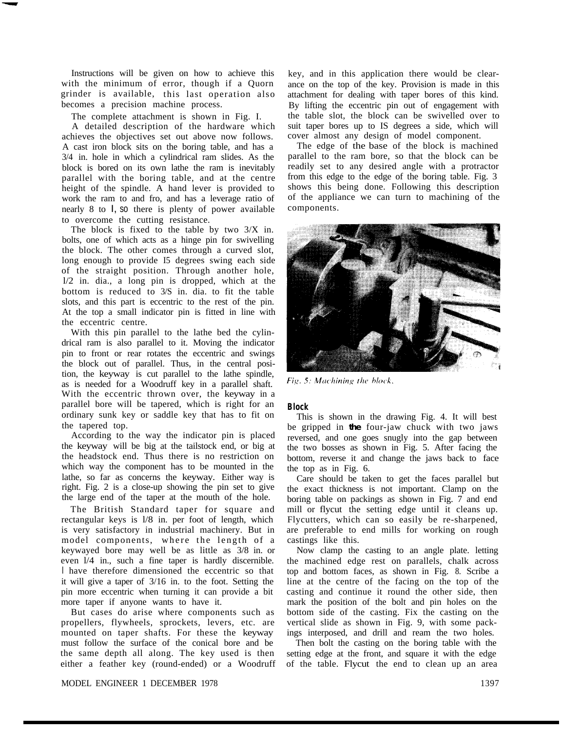Instructions will be given on how to achieve this with the minimum of error, though if a Quorn grinder is available, this last operation also becomes a precision machine process.

The complete attachment is shown in Fig. I.

A detailed description of the hardware which achieves the objectives set out above now follows. A cast iron block sits on the boring table, and has a 3/4 in. hole in which a cylindrical ram slides. As the block is bored on its own lathe the ram is inevitably parallel with the boring table, and at the centre height of the spindle. A hand lever is provided to work the ram to and fro, and has a leverage ratio of nearly 8 to I, so there is plenty of power available to overcome the cutting resistance.

The block is fixed to the table by two  $3/X$  in. bolts, one of which acts as a hinge pin for swivelling the block. The other comes through a curved slot, long enough to provide I5 degrees swing each side of the straight position. Through another hole, l/2 in. dia., a long pin is dropped, which at the bottom is reduced to 3/S in. dia. to fit the table slots, and this part is eccentric to the rest of the pin. At the top a small indicator pin is fitted in line with the eccentric centre.

With this pin parallel to the lathe bed the cylindrical ram is also parallel to it. Moving the indicator pin to front or rear rotates the eccentric and swings the block out of parallel. Thus, in the central position, the keyway is cut parallel to the lathe spindle, as is needed for a Woodruff key in a parallel shaft. With the eccentric thrown over, the keyway in a parallel bore will be tapered, which is right for an ordinary sunk key or saddle key that has to fit on the tapered top.

According to the way the indicator pin is placed the keyway will be big at the tailstock end, or big at the headstock end. Thus there is no restriction on which way the component has to be mounted in the lathe, so far as concerns the keyway. Either way is right. Fig. 2 is a close-up showing the pin set to give the large end of the taper at the mouth of the hole.

The British Standard taper for square and rectangular keys is l/8 in. per foot of length, which is very satisfactory in industrial machinery. But in model components, where the length of a keywayed bore may well be as little as 3/8 in. or even l/4 in., such a fine taper is hardly discernible. I have therefore dimensioned the eccentric so that it will give a taper of 3/16 in. to the foot. Setting the pin more eccentric when turning it can provide a bit more taper if anyone wants to have it.

But cases do arise where components such as propellers, flywheels, sprockets, levers, etc. are mounted on taper shafts. For these the keyway must follow the surface of the conical bore and be the same depth all along. The key used is then either a feather key (round-ended) or a Woodruff key, and in this application there would be clearance on the top of the key. Provision is made in this attachment for dealing with taper bores of this kind. By lifting the eccentric pin out of engagement with the table slot, the block can be swivelled over to suit taper bores up to IS degrees a side, which will cover almost any design of model component.

The edge of the base of the block is machined parallel to the ram bore, so that the block can be readily set to any desired angle with a protractor from this edge to the edge of the boring table. Fig. 3 shows this being done. Following this description of the appliance we can turn to machining of the components.



Fig. 5: Machining the block.

## **Block**

This is shown in the drawing Fig. 4. It will best be gripped in **the** four-jaw chuck with two jaws reversed, and one goes snugly into the gap between the two bosses as shown in Fig. 5. After facing the bottom, reverse it and change the jaws back to face the top as in Fig. 6.

Care should be taken to get the faces parallel but the exact thickness is not important. Clamp on the boring table on packings as shown in Fig. 7 and end mill or flycut the setting edge until it cleans up. Flycutters, which can so easily be re-sharpened, are preferable to end mills for working on rough castings like this.

Now clamp the casting to an angle plate. letting the machined edge rest on parallels, chalk across top and bottom faces, as shown in Fig. 8. Scribe a line at the centre of the facing on the top of the casting and continue it round the other side, then mark the position of the bolt and pin holes on the bottom side of the casting. Fix the casting on the vertical slide as shown in Fig. 9, with some packings interposed, and drill and ream the two holes.

Then bolt the casting on the boring table with the setting edge at the front, and square it with the edge of the table. Flycut the end to clean up an area